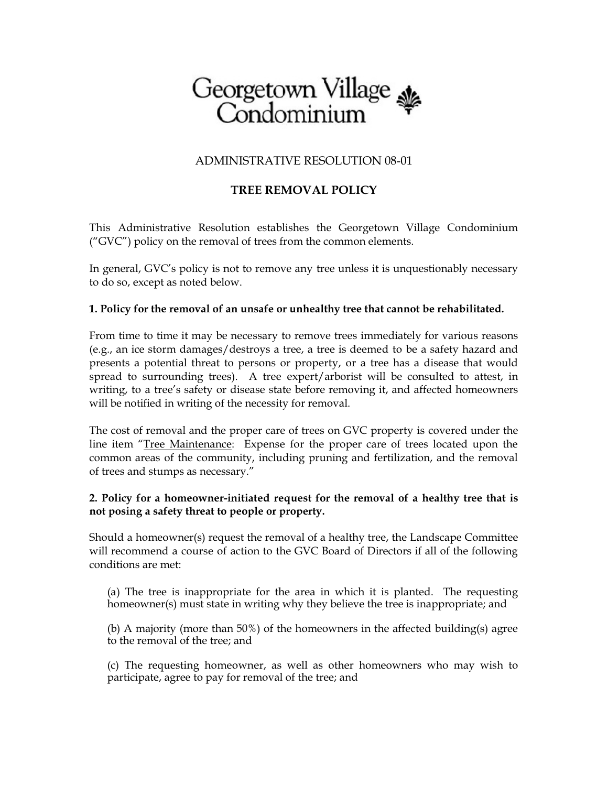# Georgetown Village<br>Condominium

## ADMINISTRATIVE RESOLUTION 08-01

# **TREE REMOVAL POLICY**

This Administrative Resolution establishes the Georgetown Village Condominium  $(''GVC'')$  policy on the removal of trees from the common elements.

In general, GVC's policy is not to remove any tree unless it is unquestionably necessary to do so, except as noted below.

#### **1. Policy for the removal of an unsafe or unhealthy tree that cannot be rehabilitated.**

From time to time it may be necessary to remove trees immediately for various reasons (e.g., an ice storm damages/destroys a tree, a tree is deemed to be a safety hazard and presents a potential threat to persons or property, or a tree has a disease that would spread to surrounding trees). A tree expert/arborist will be consulted to attest, in writing, to a tree's safety or disease state before removing it, and affected homeowners will be notified in writing of the necessity for removal.

The cost of removal and the proper care of trees on GVC property is covered under the line item "Tree Maintenance: Expense for the proper care of trees located upon the common areas of the community, including pruning and fertilization, and the removal of trees and stumps as necessary."

## **2. Policy for a homeowner-initiated request for the removal of a healthy tree that is not posing a safety threat to people or property.**

Should a homeowner(s) request the removal of a healthy tree, the Landscape Committee will recommend a course of action to the GVC Board of Directors if all of the following conditions are met:

(a) The tree is inappropriate for the area in which it is planted. The requesting homeowner(s) must state in writing why they believe the tree is inappropriate; and

(b) A majority (more than 50%) of the homeowners in the affected building(s) agree to the removal of the tree; and

(c) The requesting homeowner, as well as other homeowners who may wish to participate, agree to pay for removal of the tree; and